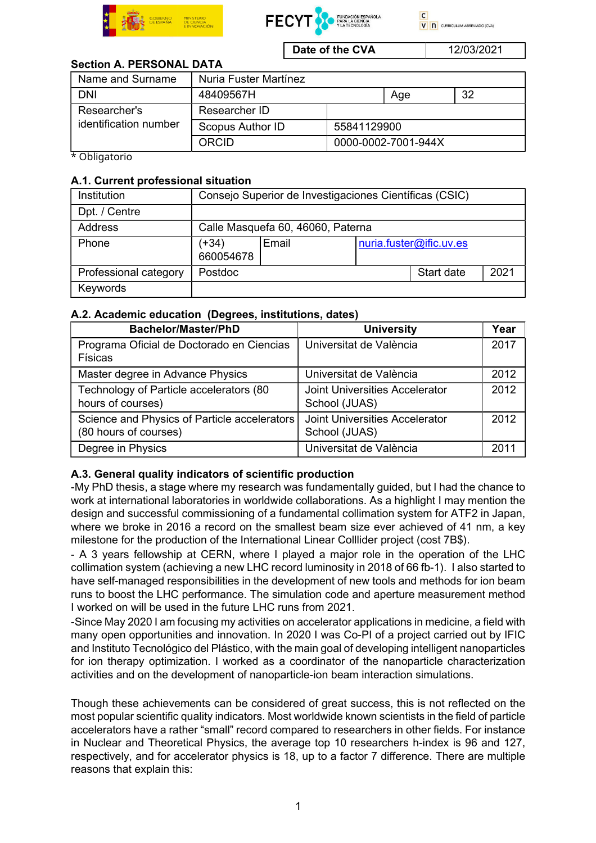





**Date of the CVA** 12/03/2021

# Section A. PERSONAL DATA

| Name and Surname                      | Nuria Fuster Martínez |                     |     |    |
|---------------------------------------|-----------------------|---------------------|-----|----|
| <b>DNI</b>                            | 48409567H             |                     | Age | 32 |
| Researcher's<br>identification number | Researcher ID         |                     |     |    |
|                                       | Scopus Author ID      | 55841129900         |     |    |
|                                       | ORCID                 | 0000-0002-7001-944X |     |    |

\* Obligatorio

### A.1. Current professional situation

| Institution           | Consejo Superior de Investigaciones Científicas (CSIC) |       |  |                         |      |
|-----------------------|--------------------------------------------------------|-------|--|-------------------------|------|
| Dpt. / Centre         |                                                        |       |  |                         |      |
| Address               | Calle Masquefa 60, 46060, Paterna                      |       |  |                         |      |
| Phone                 | (+34)<br>660054678                                     | Email |  | nuria.fuster@ific.uv.es |      |
| Professional category | Postdoc                                                |       |  | Start date              | 2021 |
| Keywords              |                                                        |       |  |                         |      |

# A.2. Academic education (Degrees, institutions, dates)

| <b>Bachelor/Master/PhD</b>                                            | <b>University</b>                                      | Year |
|-----------------------------------------------------------------------|--------------------------------------------------------|------|
| Programa Oficial de Doctorado en Ciencias<br>Físicas                  | Universitat de València                                | 2017 |
| Master degree in Advance Physics                                      | Universitat de València                                | 2012 |
| Technology of Particle accelerators (80<br>hours of courses)          | <b>Joint Universities Accelerator</b><br>School (JUAS) | 2012 |
| Science and Physics of Particle accelerators<br>(80 hours of courses) | Joint Universities Accelerator<br>School (JUAS)        | 2012 |
| Degree in Physics                                                     | Universitat de València                                | 2011 |

# A.3. General quality indicators of scientific production

-My PhD thesis, a stage where my research was fundamentally guided, but I had the chance to work at international laboratories in worldwide collaborations. As a highlight I may mention the design and successful commissioning of a fundamental collimation system for ATF2 in Japan, where we broke in 2016 a record on the smallest beam size ever achieved of 41 nm, a key milestone for the production of the International Linear Colllider project (cost 7B\$).

- A 3 years fellowship at CERN, where I played a major role in the operation of the LHC collimation system (achieving a new LHC record luminosity in 2018 of 66 fb-1). I also started to have self-managed responsibilities in the development of new tools and methods for ion beam runs to boost the LHC performance. The simulation code and aperture measurement method I worked on will be used in the future LHC runs from 2021.

-Since May 2020 I am focusing my activities on accelerator applications in medicine, a field with many open opportunities and innovation. In 2020 I was Co-PI of a project carried out by IFIC and Instituto Tecnológico del Plástico, with the main goal of developing intelligent nanoparticles for ion therapy optimization. I worked as a coordinator of the nanoparticle characterization activities and on the development of nanoparticle-ion beam interaction simulations.

Though these achievements can be considered of great success, this is not reflected on the most popular scientific quality indicators. Most worldwide known scientists in the field of particle accelerators have a rather "small" record compared to researchers in other fields. For instance in Nuclear and Theoretical Physics, the average top 10 researchers h-index is 96 and 127, respectively, and for accelerator physics is 18, up to a factor 7 difference. There are multiple reasons that explain this: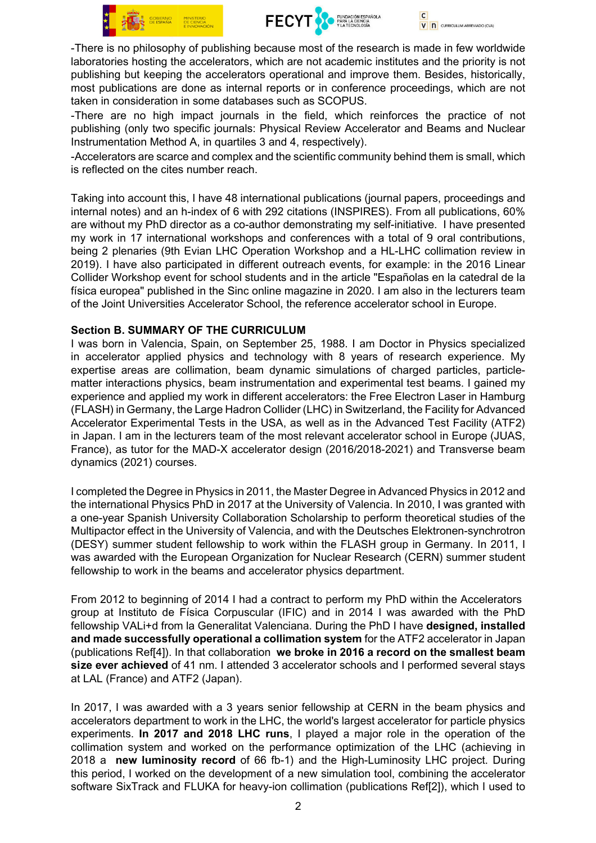





-There is no philosophy of publishing because most of the research is made in few worldwide laboratories hosting the accelerators, which are not academic institutes and the priority is not publishing but keeping the accelerators operational and improve them. Besides, historically, most publications are done as internal reports or in conference proceedings, which are not taken in consideration in some databases such as SCOPUS.

-There are no high impact journals in the field, which reinforces the practice of not publishing (only two specific journals: Physical Review Accelerator and Beams and Nuclear Instrumentation Method A, in quartiles 3 and 4, respectively).

-Accelerators are scarce and complex and the scientific community behind them is small, which is reflected on the cites number reach.

Taking into account this, I have 48 international publications (journal papers, proceedings and internal notes) and an h-index of 6 with 292 citations (INSPIRES). From all publications, 60% are without my PhD director as a co-author demonstrating my self-initiative. I have presented my work in 17 international workshops and conferences with a total of 9 oral contributions, being 2 plenaries (9th Evian LHC Operation Workshop and a HL-LHC collimation review in 2019). I have also participated in different outreach events, for example: in the 2016 Linear Collider Workshop event for school students and in the article "Españolas en la catedral de la física europea" published in the Sinc online magazine in 2020. I am also in the lecturers team of the Joint Universities Accelerator School, the reference accelerator school in Europe.

#### Section B. SUMMARY OF THE CURRICULUM

I was born in Valencia, Spain, on September 25, 1988. I am Doctor in Physics specialized in accelerator applied physics and technology with 8 years of research experience. My expertise areas are collimation, beam dynamic simulations of charged particles, particlematter interactions physics, beam instrumentation and experimental test beams. I gained my experience and applied my work in different accelerators: the Free Electron Laser in Hamburg (FLASH) in Germany, the Large Hadron Collider (LHC) in Switzerland, the Facility for Advanced Accelerator Experimental Tests in the USA, as well as in the Advanced Test Facility (ATF2) in Japan. I am in the lecturers team of the most relevant accelerator school in Europe (JUAS, France), as tutor for the MAD-X accelerator design (2016/2018-2021) and Transverse beam dynamics (2021) courses.

I completed the Degree in Physics in 2011, the Master Degree in Advanced Physics in 2012 and the international Physics PhD in 2017 at the University of Valencia. In 2010, I was granted with a one-year Spanish University Collaboration Scholarship to perform theoretical studies of the Multipactor effect in the University of Valencia, and with the Deutsches Elektronen-synchrotron (DESY) summer student fellowship to work within the FLASH group in Germany. In 2011, I was awarded with the European Organization for Nuclear Research (CERN) summer student fellowship to work in the beams and accelerator physics department.

From 2012 to beginning of 2014 I had a contract to perform my PhD within the Accelerators group at Instituto de Física Corpuscular (IFIC) and in 2014 I was awarded with the PhD fellowship VALi+d from la Generalitat Valenciana. During the PhD I have designed, installed and made successfully operational a collimation system for the ATF2 accelerator in Japan (publications Ref[4]). In that collaboration we broke in 2016 a record on the smallest beam size ever achieved of 41 nm. I attended 3 accelerator schools and I performed several stays at LAL (France) and ATF2 (Japan).

In 2017, I was awarded with a 3 years senior fellowship at CERN in the beam physics and accelerators department to work in the LHC, the world's largest accelerator for particle physics experiments. In 2017 and 2018 LHC runs, I played a major role in the operation of the collimation system and worked on the performance optimization of the LHC (achieving in 2018 a new luminosity record of 66 fb-1) and the High-Luminosity LHC project. During this period, I worked on the development of a new simulation tool, combining the accelerator software SixTrack and FLUKA for heavy-ion collimation (publications Ref[2]), which I used to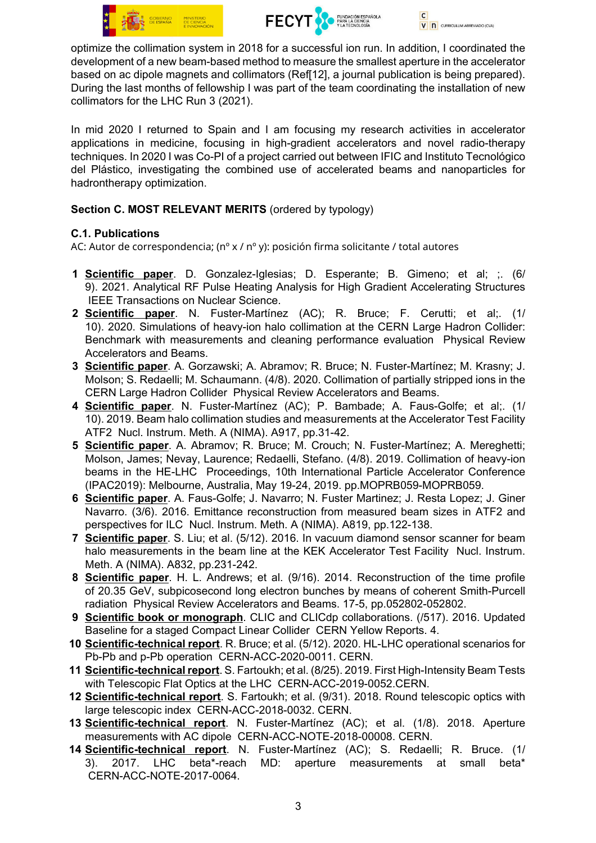





optimize the collimation system in 2018 for a successful ion run. In addition, I coordinated the development of a new beam-based method to measure the smallest aperture in the accelerator based on ac dipole magnets and collimators (Ref[12], a journal publication is being prepared). During the last months of fellowship I was part of the team coordinating the installation of new collimators for the LHC Run 3 (2021).

In mid 2020 I returned to Spain and I am focusing my research activities in accelerator applications in medicine, focusing in high-gradient accelerators and novel radio-therapy techniques. In 2020 I was Co-PI of a project carried out between IFIC and Instituto Tecnológico del Plástico, investigating the combined use of accelerated beams and nanoparticles for hadrontherapy optimization.

### Section C. MOST RELEVANT MERITS (ordered by typology)

### C.1. Publications

AC: Autor de correspondencia; (nº x / nº y): posición firma solicitante / total autores

- 1 Scientific paper. D. Gonzalez-Iglesias; D. Esperante; B. Gimeno; et al; ;. (6/ 9). 2021. Analytical RF Pulse Heating Analysis for High Gradient Accelerating Structures IEEE Transactions on Nuclear Science.
- 2 Scientific paper. N. Fuster-Martínez (AC); R. Bruce; F. Cerutti; et al;. (1/ 10). 2020. Simulations of heavy-ion halo collimation at the CERN Large Hadron Collider: Benchmark with measurements and cleaning performance evaluation Physical Review Accelerators and Beams.
- 3 Scientific paper. A. Gorzawski; A. Abramov; R. Bruce; N. Fuster-Martínez; M. Krasny; J. Molson; S. Redaelli; M. Schaumann. (4/8). 2020. Collimation of partially stripped ions in the CERN Large Hadron Collider Physical Review Accelerators and Beams.
- 4 Scientific paper. N. Fuster-Martínez (AC); P. Bambade; A. Faus-Golfe; et al;. (1/ 10). 2019. Beam halo collimation studies and measurements at the Accelerator Test Facility ATF2 Nucl. Instrum. Meth. A (NIMA). A917, pp.31-42.
- 5 Scientific paper. A. Abramov; R. Bruce; M. Crouch; N. Fuster-Martínez; A. Mereghetti; Molson, James; Nevay, Laurence; Redaelli, Stefano. (4/8). 2019. Collimation of heavy-ion beams in the HE-LHC Proceedings, 10th International Particle Accelerator Conference (IPAC2019): Melbourne, Australia, May 19-24, 2019. pp.MOPRB059-MOPRB059.
- 6 Scientific paper. A. Faus-Golfe; J. Navarro; N. Fuster Martinez; J. Resta Lopez; J. Giner Navarro. (3/6). 2016. Emittance reconstruction from measured beam sizes in ATF2 and perspectives for ILC Nucl. Instrum. Meth. A (NIMA). A819, pp.122-138.
- 7 Scientific paper. S. Liu; et al. (5/12). 2016. In vacuum diamond sensor scanner for beam halo measurements in the beam line at the KEK Accelerator Test Facility Nucl. Instrum. Meth. A (NIMA). A832, pp.231-242.
- 8 Scientific paper. H. L. Andrews; et al. (9/16). 2014. Reconstruction of the time profile of 20.35 GeV, subpicosecond long electron bunches by means of coherent Smith-Purcell radiation Physical Review Accelerators and Beams. 17-5, pp.052802-052802.
- 9 Scientific book or monograph. CLIC and CLICdp collaborations. (/517). 2016. Updated Baseline for a staged Compact Linear Collider CERN Yellow Reports. 4.
- 10 Scientific-technical report. R. Bruce; et al. (5/12). 2020. HL-LHC operational scenarios for Pb-Pb and p-Pb operation CERN-ACC-2020-0011. CERN.
- 11 Scientific-technical report. S. Fartoukh; et al. (8/25). 2019. First High-Intensity Beam Tests with Telescopic Flat Optics at the LHC CERN-ACC-2019-0052.CERN.
- 12 Scientific-technical report. S. Fartoukh; et al. (9/31). 2018. Round telescopic optics with large telescopic index CERN-ACC-2018-0032. CERN.
- 13 Scientific-technical report. N. Fuster-Martínez (AC); et al. (1/8). 2018. Aperture measurements with AC dipole CERN-ACC-NOTE-2018-00008. CERN.
- 14 Scientific-technical report. N. Fuster-Martínez (AC); S. Redaelli; R. Bruce. (1/ 3). 2017. LHC beta\*-reach MD: aperture measurements at small beta\* CERN-ACC-NOTE-2017-0064.